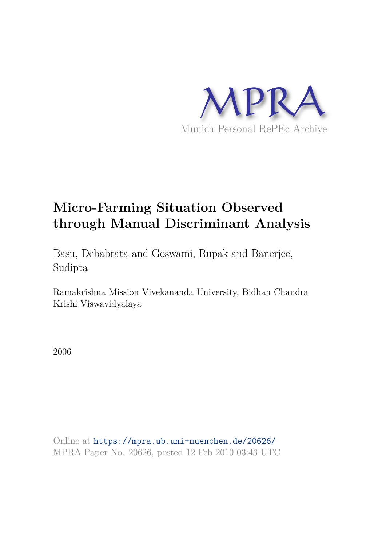

# **Micro-Farming Situation Observed through Manual Discriminant Analysis**

Basu, Debabrata and Goswami, Rupak and Banerjee, Sudipta

Ramakrishna Mission Vivekananda University, Bidhan Chandra Krishi Viswavidyalaya

2006

Online at https://mpra.ub.uni-muenchen.de/20626/ MPRA Paper No. 20626, posted 12 Feb 2010 03:43 UTC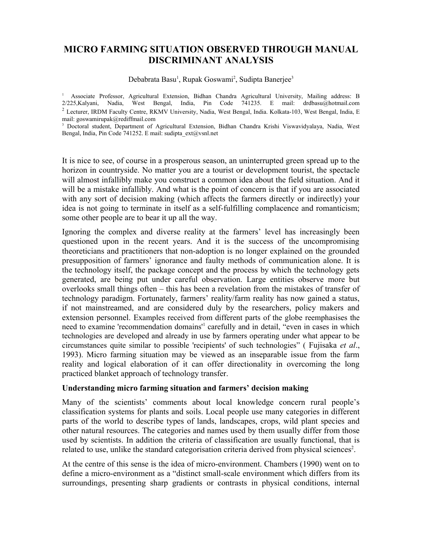## **MICRO FARMING SITUATION OBSERVED THROUGH MANUAL DISCRIMINANT ANALYSIS**

Debabrata Basu<sup>1</sup>, Rupak Goswami<sup>2</sup>, Sudipta Banerjee<sup>3</sup>

<sup>1</sup> Associate Professor, Agricultural Extension, Bidhan Chandra Agricultural University, Mailing address: B 2/225,Kalyani, Nadia, West Bengal, India, Pin Code 741235. E mail: drdbasu@hotmail.com <sup>2</sup> Lecturer, IRDM Faculty Centre, RKMV University, Nadia, West Bengal, India. Kolkata-103, West Bengal, India, E mail: goswamirupak@rediffmail.com

3 Doctoral student, Department of Agricultural Extension, Bidhan Chandra Krishi Viswavidyalaya, Nadia, West Bengal, India, Pin Code 741252. E mail: sudipta\_ext@vsnl.net

It is nice to see, of course in a prosperous season, an uninterrupted green spread up to the horizon in countryside. No matter you are a tourist or development tourist, the spectacle will almost infallibly make you construct a common idea about the field situation. And it will be a mistake infallibly. And what is the point of concern is that if you are associated with any sort of decision making (which affects the farmers directly or indirectly) your idea is not going to terminate in itself as a self-fulfilling complacence and romanticism; some other people are to bear it up all the way.

Ignoring the complex and diverse reality at the farmers' level has increasingly been questioned upon in the recent years. And it is the success of the uncompromising theoreticians and practitioners that non-adoption is no longer explained on the grounded presupposition of farmers' ignorance and faulty methods of communication alone. It is the technology itself, the package concept and the process by which the technology gets generated, are being put under careful observation. Large entities observe more but overlooks small things often – this has been a revelation from the mistakes of transfer of technology paradigm. Fortunately, farmers' reality/farm reality has now gained a status, if not mainstreamed, and are considered duly by the researchers, policy makers and extension personnel. Examples received from different parts of the globe reemphasises the need to examine 'recommendation domains<sup>1</sup> carefully and in detail, "even in cases in which technologies are developed and already in use by farmers operating under what appear to be circumstances quite similar to possible 'recipients' of such technologies" ( Fujisaka *et al*., 1993). Micro farming situation may be viewed as an inseparable issue from the farm reality and logical elaboration of it can offer directionality in overcoming the long practiced blanket approach of technology transfer.

## **Understanding micro farming situation and farmers' decision making**

Many of the scientists' comments about local knowledge concern rural people's classification systems for plants and soils. Local people use many categories in different parts of the world to describe types of lands, landscapes, crops, wild plant species and other natural resources. The categories and names used by them usually differ from those used by scientists. In addition the criteria of classification are usually functional, that is related to use, unlike the standard categorisation criteria derived from physical sciences<sup>2</sup>.

At the centre of this sense is the idea of micro-environment. Chambers (1990) went on to define a micro-environment as a "distinct small-scale environment which differs from its surroundings, presenting sharp gradients or contrasts in physical conditions, internal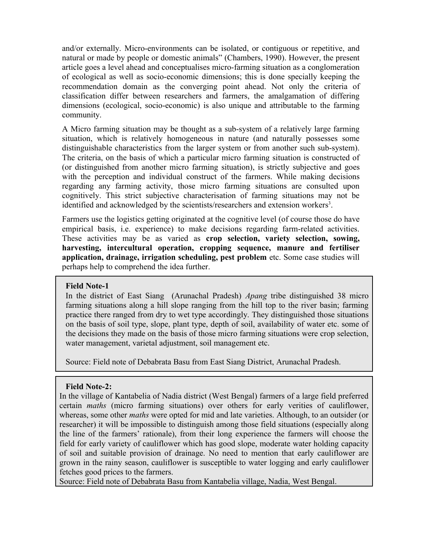and/or externally. Micro-environments can be isolated, or contiguous or repetitive, and natural or made by people or domestic animals" (Chambers, 1990). However, the present article goes a level ahead and conceptualises micro-farming situation as a conglomeration of ecological as well as socio-economic dimensions; this is done specially keeping the recommendation domain as the converging point ahead. Not only the criteria of classification differ between researchers and farmers, the amalgamation of differing dimensions (ecological, socio-economic) is also unique and attributable to the farming community.

A Micro farming situation may be thought as a sub-system of a relatively large farming situation, which is relatively homogeneous in nature (and naturally possesses some distinguishable characteristics from the larger system or from another such sub-system). The criteria, on the basis of which a particular micro farming situation is constructed of (or distinguished from another micro farming situation), is strictly subjective and goes with the perception and individual construct of the farmers. While making decisions regarding any farming activity, those micro farming situations are consulted upon cognitively. This strict subjective characterisation of farming situations may not be identified and acknowledged by the scientists/researchers and extension workers<sup>3</sup>.

Farmers use the logistics getting originated at the cognitive level (of course those do have empirical basis, i.e. experience) to make decisions regarding farm-related activities. These activities may be as varied as **crop selection, variety selection, sowing, harvesting, intercultural operation, cropping sequence, manure and fertiliser application, drainage, irrigation scheduling, pest problem** etc. Some case studies will perhaps help to comprehend the idea further.

## **Field Note-1**

In the district of East Siang (Arunachal Pradesh) *Apang* tribe distinguished 38 micro farming situations along a hill slope ranging from the hill top to the river basin; farming practice there ranged from dry to wet type accordingly. They distinguished those situations on the basis of soil type, slope, plant type, depth of soil, availability of water etc. some of the decisions they made on the basis of those micro farming situations were crop selection, water management, varietal adjustment, soil management etc.

Source: Field note of Debabrata Basu from East Siang District, Arunachal Pradesh.

## **Field Note-2:**

In the village of Kantabelia of Nadia district (West Bengal) farmers of a large field preferred certain *maths* (micro farming situations) over others for early verities of cauliflower, whereas, some other *maths* were opted for mid and late varieties. Although, to an outsider (or researcher) it will be impossible to distinguish among those field situations (especially along the line of the farmers' rationale), from their long experience the farmers will choose the field for early variety of cauliflower which has good slope, moderate water holding capacity of soil and suitable provision of drainage. No need to mention that early cauliflower are grown in the rainy season, cauliflower is susceptible to water logging and early cauliflower fetches good prices to the farmers.

Source: Field note of Debabrata Basu from Kantabelia village, Nadia, West Bengal.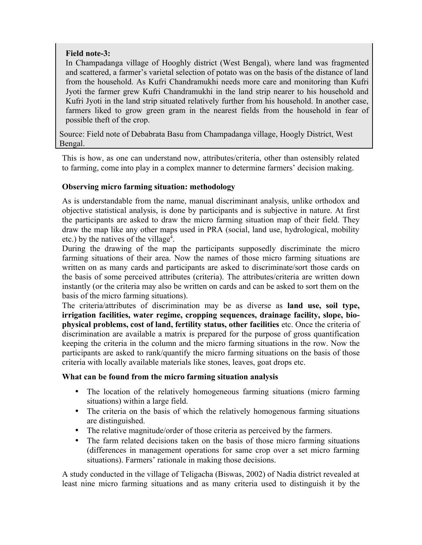## **Field note-3:**

In Champadanga village of Hooghly district (West Bengal), where land was fragmented and scattered, a farmer's varietal selection of potato was on the basis of the distance of land from the household. As Kufri Chandramukhi needs more care and monitoring than Kufri Jyoti the farmer grew Kufri Chandramukhi in the land strip nearer to his household and Kufri Jyoti in the land strip situated relatively further from his household. In another case, farmers liked to grow green gram in the nearest fields from the household in fear of possible theft of the crop.

Source: Field note of Debabrata Basu from Champadanga village, Hoogly District, West Bengal.

This is how, as one can understand now, attributes/criteria, other than ostensibly related to farming, come into play in a complex manner to determine farmers' decision making.

## **Observing micro farming situation: methodology**

As is understandable from the name, manual discriminant analysis, unlike orthodox and objective statistical analysis, is done by participants and is subjective in nature. At first the participants are asked to draw the micro farming situation map of their field. They draw the map like any other maps used in PRA (social, land use, hydrological, mobility etc.) by the natives of the village<sup>4</sup>.

During the drawing of the map the participants supposedly discriminate the micro farming situations of their area. Now the names of those micro farming situations are written on as many cards and participants are asked to discriminate/sort those cards on the basis of some perceived attributes (criteria). The attributes/criteria are written down instantly (or the criteria may also be written on cards and can be asked to sort them on the basis of the micro farming situations).

The criteria/attributes of discrimination may be as diverse as **land use, soil type, irrigation facilities, water regime, cropping sequences, drainage facility, slope, biophysical problems, cost of land, fertility status, other facilities** etc. Once the criteria of discrimination are available a matrix is prepared for the purpose of gross quantification keeping the criteria in the column and the micro farming situations in the row. Now the participants are asked to rank/quantify the micro farming situations on the basis of those criteria with locally available materials like stones, leaves, goat drops etc.

## **What can be found from the micro farming situation analysis**

- The location of the relatively homogeneous farming situations (micro farming situations) within a large field.
- The criteria on the basis of which the relatively homogenous farming situations are distinguished.
- The relative magnitude/order of those criteria as perceived by the farmers.
- The farm related decisions taken on the basis of those micro farming situations (differences in management operations for same crop over a set micro farming situations). Farmers' rationale in making those decisions.

A study conducted in the village of Teligacha (Biswas, 2002) of Nadia district revealed at least nine micro farming situations and as many criteria used to distinguish it by the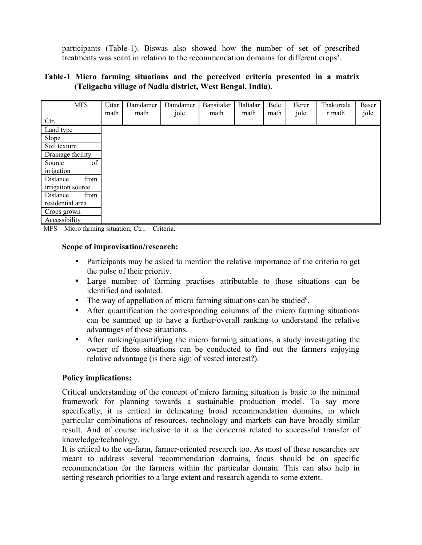participants (Table-1). Biswas also showed how the number of set of prescribed treatments was scant in relation to the recommendation domains for different crops<sup>5</sup>.

## **Table-1 Micro farming situations and the perceived criteria presented in a matrix (Teligacha village of Nadia district, West Bengal, India).**

| <b>MFS</b>        | Uttar<br>math | Damdamer<br>math | Damdamer<br>jole | Bansitalar<br>math | <b>Baltalar</b><br>math | Bele<br>math | Herer<br>jole | Thakurtala<br>r math | Baser<br>jole |
|-------------------|---------------|------------------|------------------|--------------------|-------------------------|--------------|---------------|----------------------|---------------|
| Ctr.              |               |                  |                  |                    |                         |              |               |                      |               |
| Land type         |               |                  |                  |                    |                         |              |               |                      |               |
| Slope             |               |                  |                  |                    |                         |              |               |                      |               |
| Soil texture      |               |                  |                  |                    |                         |              |               |                      |               |
| Drainage facility |               |                  |                  |                    |                         |              |               |                      |               |
| Source<br>of      |               |                  |                  |                    |                         |              |               |                      |               |
| irrigation        |               |                  |                  |                    |                         |              |               |                      |               |
| from<br>Distance  |               |                  |                  |                    |                         |              |               |                      |               |
| irrigation source |               |                  |                  |                    |                         |              |               |                      |               |
| from<br>Distance  |               |                  |                  |                    |                         |              |               |                      |               |
| residential area  |               |                  |                  |                    |                         |              |               |                      |               |
| Crops grown       |               |                  |                  |                    |                         |              |               |                      |               |
| Accessibility     |               |                  |                  |                    |                         |              |               |                      |               |

MFS – Micro farming situation; Ctr.. – Criteria.

## **Scope of improvisation/research:**

- Participants may be asked to mention the relative importance of the criteria to get the pulse of their priority.
- Large number of farming practises attributable to those situations can be identified and isolated.
- The way of appellation of micro farming situations can be studied<sup>6</sup>.
- After quantification the corresponding columns of the micro farming situations can be summed up to have a further/overall ranking to understand the relative advantages of those situations.
- After ranking/quantifying the micro farming situations, a study investigating the owner of those situations can be conducted to find out the farmers enjoying relative advantage (is there sign of vested interest?).

## **Policy implications:**

Critical understanding of the concept of micro farming situation is basic to the minimal framework for planning towards a sustainable production model. To say more specifically, it is critical in delineating broad recommendation domains, in which particular combinations of resources, technology and markets can have broadly similar result. And of course inclusive to it is the concerns related to successful transfer of knowledge/technology.

It is critical to the on-farm, farmer-oriented research too. As most of these researches are meant to address several recommendation domains, focus should be on specific recommendation for the farmers within the particular domain. This can also help in setting research priorities to a large extent and research agenda to some extent.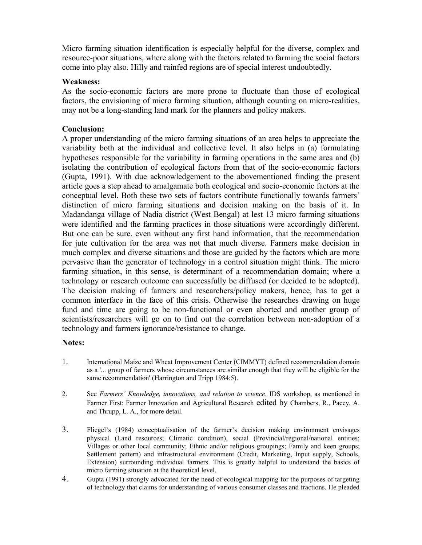Micro farming situation identification is especially helpful for the diverse, complex and resource-poor situations, where along with the factors related to farming the social factors come into play also. Hilly and rainfed regions are of special interest undoubtedly.

## **Weakness:**

As the socio-economic factors are more prone to fluctuate than those of ecological factors, the envisioning of micro farming situation, although counting on micro-realities, may not be a long-standing land mark for the planners and policy makers.

## **Conclusion:**

A proper understanding of the micro farming situations of an area helps to appreciate the variability both at the individual and collective level. It also helps in (a) formulating hypotheses responsible for the variability in farming operations in the same area and (b) isolating the contribution of ecological factors from that of the socio-economic factors (Gupta, 1991). With due acknowledgement to the abovementioned finding the present article goes a step ahead to amalgamate both ecological and socio-economic factors at the conceptual level. Both these two sets of factors contribute functionally towards farmers' distinction of micro farming situations and decision making on the basis of it. In Madandanga village of Nadia district (West Bengal) at lest 13 micro farming situations were identified and the farming practices in those situations were accordingly different. But one can be sure, even without any first hand information, that the recommendation for jute cultivation for the area was not that much diverse. Farmers make decision in much complex and diverse situations and those are guided by the factors which are more pervasive than the generator of technology in a control situation might think. The micro farming situation, in this sense, is determinant of a recommendation domain; where a technology or research outcome can successfully be diffused (or decided to be adopted). The decision making of farmers and researchers/policy makers, hence, has to get a common interface in the face of this crisis. Otherwise the researches drawing on huge fund and time are going to be non-functional or even aborted and another group of scientists/researchers will go on to find out the correlation between non-adoption of a technology and farmers ignorance/resistance to change.

## **Notes:**

- 1. International Maize and Wheat Improvement Center (CIMMYT) defined recommendation domain as a '... group of farmers whose circumstances are similar enough that they will be eligible for the same recommendation' (Harrington and Tripp 1984:5).
- 2. See *Farmers' Knowledge, innovations, and relation to science*, IDS workshop, as mentioned in Farmer First: Farmer Innovation and Agricultural Research edited by Chambers, R., Pacey, A. and Thrupp, L. A., for more detail.
- 3. Fliegel's (1984) conceptualisation of the farmer's decision making environment envisages physical (Land resources; Climatic condition), social (Provincial/regional/national entities; Villages or other local community; Ethnic and/or religious groupings; Family and keen groups; Settlement pattern) and infrastructural environment (Credit, Marketing, Input supply, Schools, Extension) surrounding individual farmers. This is greatly helpful to understand the basics of micro farming situation at the theoretical level.
- 4. Gupta (1991) strongly advocated for the need of ecological mapping for the purposes of targeting of technology that claims for understanding of various consumer classes and fractions. He pleaded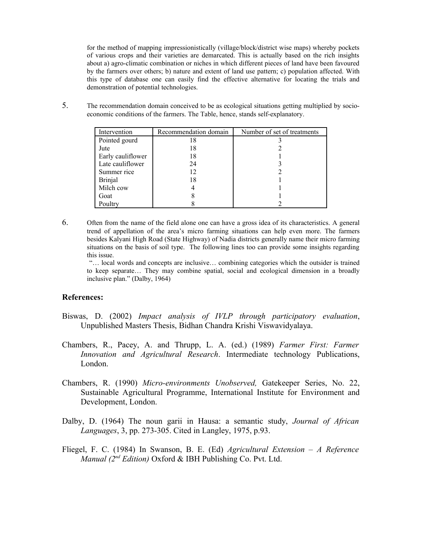for the method of mapping impressionistically (village/block/district wise maps) whereby pockets of various crops and their varieties are demarcated. This is actually based on the rich insights about a) agro-climatic combination or niches in which different pieces of land have been favoured by the farmers over others; b) nature and extent of land use pattern; c) population affected. With this type of database one can easily find the effective alternative for locating the trials and demonstration of potential technologies.

5. The recommendation domain conceived to be as ecological situations getting multiplied by socioeconomic conditions of the farmers. The Table, hence, stands self-explanatory.

| Intervention      | Recommendation domain | Number of set of treatments |
|-------------------|-----------------------|-----------------------------|
| Pointed gourd     | 18                    |                             |
| Jute              | 18                    |                             |
| Early cauliflower | 18                    |                             |
| Late cauliflower  | 24                    |                             |
| Summer rice       | 12                    |                             |
| <b>Brinjal</b>    | 18                    |                             |
| Milch cow         |                       |                             |
| Goat              |                       |                             |
| Poultry           |                       |                             |

6. Often from the name of the field alone one can have a gross idea of its characteristics. A general trend of appellation of the area's micro farming situations can help even more. The farmers besides Kalyani High Road (State Highway) of Nadia districts generally name their micro farming situations on the basis of soil type. The following lines too can provide some insights regarding this issue.

"… local words and concepts are inclusive… combining categories which the outsider is trained to keep separate… They may combine spatial, social and ecological dimension in a broadly inclusive plan." (Dalby, 1964)

#### **References:**

- Biswas, D. (2002) *Impact analysis of IVLP through participatory evaluation*, Unpublished Masters Thesis, Bidhan Chandra Krishi Viswavidyalaya.
- Chambers, R., Pacey, A. and Thrupp, L. A. (ed.) (1989) *Farmer First: Farmer Innovation and Agricultural Research*. Intermediate technology Publications, London.
- Chambers, R. (1990) *Micro-environments Unobserved,* Gatekeeper Series, No. 22, Sustainable Agricultural Programme, International Institute for Environment and Development, London.
- Dalby, D. (1964) The noun garii in Hausa: a semantic study, *Journal of African Languages*, 3, pp. 273-305. Cited in Langley, 1975, p.93.
- Fliegel, F. C. (1984) In Swanson, B. E. (Ed) *Agricultural Extension A Reference Manual (2nd Edition)* Oxford & IBH Publishing Co. Pvt. Ltd.